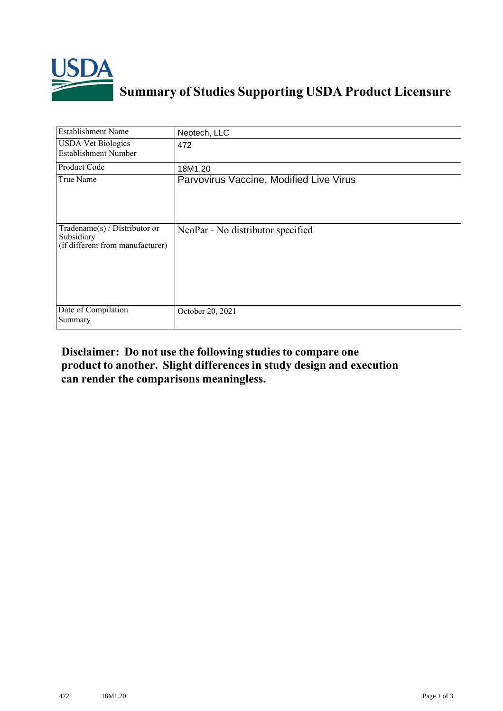

## **Summary of Studies Supporting USDA Product Licensure**

| <b>Establishment Name</b>                                                          | Neotech, LLC                            |
|------------------------------------------------------------------------------------|-----------------------------------------|
| <b>USDA Vet Biologics</b><br><b>Establishment Number</b>                           | 472                                     |
| Product Code                                                                       | 18M1.20                                 |
| True Name                                                                          | Parvovirus Vaccine, Modified Live Virus |
| Tradename $(s)$ / Distributor or<br>Subsidiary<br>(if different from manufacturer) | NeoPar - No distributor specified       |
| Date of Compilation<br>Summary                                                     | October 20, 2021                        |

## **Disclaimer: Do not use the following studiesto compare one product to another. Slight differencesin study design and execution can render the comparisons meaningless.**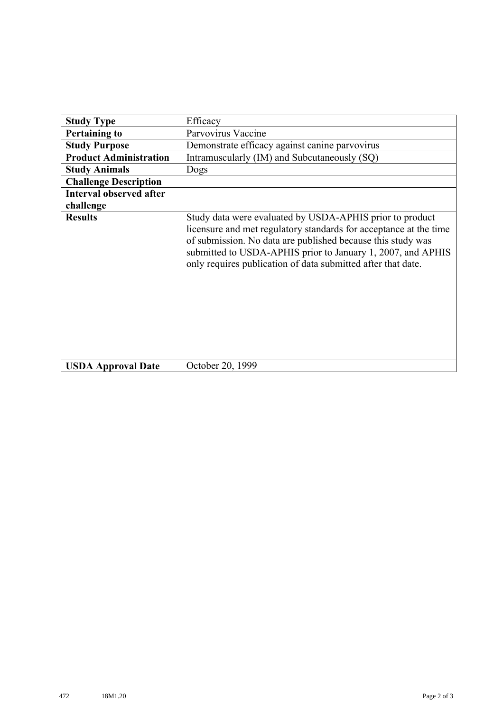| <b>Study Type</b>              | Efficacy                                                                                                                                                                                                                                                                                                                    |
|--------------------------------|-----------------------------------------------------------------------------------------------------------------------------------------------------------------------------------------------------------------------------------------------------------------------------------------------------------------------------|
| <b>Pertaining to</b>           | Parvovirus Vaccine                                                                                                                                                                                                                                                                                                          |
| <b>Study Purpose</b>           | Demonstrate efficacy against canine parvovirus                                                                                                                                                                                                                                                                              |
| <b>Product Administration</b>  | Intramuscularly (IM) and Subcutaneously (SQ)                                                                                                                                                                                                                                                                                |
| <b>Study Animals</b>           | Dogs                                                                                                                                                                                                                                                                                                                        |
| <b>Challenge Description</b>   |                                                                                                                                                                                                                                                                                                                             |
| <b>Interval observed after</b> |                                                                                                                                                                                                                                                                                                                             |
| challenge                      |                                                                                                                                                                                                                                                                                                                             |
| <b>Results</b>                 | Study data were evaluated by USDA-APHIS prior to product<br>licensure and met regulatory standards for acceptance at the time<br>of submission. No data are published because this study was<br>submitted to USDA-APHIS prior to January 1, 2007, and APHIS<br>only requires publication of data submitted after that date. |
| <b>USDA Approval Date</b>      | October 20, 1999                                                                                                                                                                                                                                                                                                            |